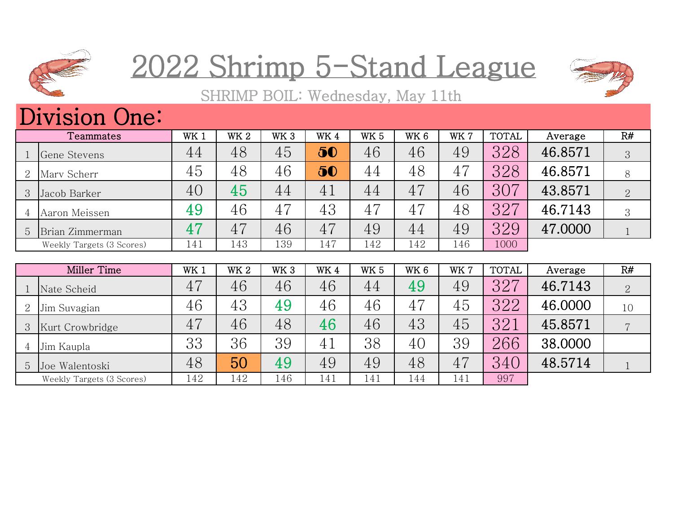

## 2022 Shrimp 5-Stand League



SHRIMP BOIL: Wednesday, May 11th

## Division One:

|   | Teammates                 | WK <sub>1</sub> | WK <sub>2</sub> | WK <sub>3</sub> | WK4 | <b>WK 5</b> | WK 6 | WK 7 | <b>TOTAL</b> | Average | R#             |
|---|---------------------------|-----------------|-----------------|-----------------|-----|-------------|------|------|--------------|---------|----------------|
|   | Gene Stevens              | 44              | 48              | 45              | 50  | 46          | 46   | 49   | 328          | 46.8571 | 3              |
| 2 | Mary Scherr               | 45              | 48              | 46              | 50  | 44          | 48   | 47   | 328          | 46.8571 | 8              |
| 3 | Jacob Barker              | 40              | 45              | 44              | 41  | 44          | 47   | 46   | 307          | 43.8571 | $\overline{2}$ |
|   | Aaron Meissen             | 49              | 46              | 47              | 43  | 47          | 47   | 48   | 327          | 46.7143 | 3              |
| 5 | Brian Zimmerman           | 47              | 47              | 46              | 47  | 49          | 44   | 49   | 329          | 47,0000 |                |
|   | Weekly Targets (3 Scores) | 141             | 143             | 139             | 147 | 142         | 142  | 146  | 1000         |         |                |
|   |                           |                 |                 |                 |     |             |      |      |              |         |                |

|   | Miller Time               | WK 1 | WK <sub>2</sub> | WK <sub>3</sub> | WK4 | WK <sub>5</sub> | WK <sub>6</sub> | WK 7 | <b>TOTAL</b> | Average | R#             |
|---|---------------------------|------|-----------------|-----------------|-----|-----------------|-----------------|------|--------------|---------|----------------|
|   | Nate Scheid               | 47   | 46              | 46              | 46  | 44              | 49              | 49   | 327          | 46.7143 | $\overline{2}$ |
| 2 | Jim Suvagian              | 46   | 43              | 49              | 46  | 46              | 47              | 45   | 322          | 46.0000 | 10             |
| 3 | Kurt Crowbridge           | 47   | 46              | 48              | 46  | 46              | 43              | 45   | 321          | 45.8571 |                |
|   | Jim Kaupla                | 33   | 36              | 39              | 41  | 38              | 40              | 39   | 266          | 38.0000 |                |
| 5 | Joe Walentoski            | 48   | 50              | 49              | 49  | 49              | 48              | 47   | 340          | 48.5714 |                |
|   | Weekly Targets (3 Scores) | 142  | 142             | 146             | 141 | 141             | 144             | 141  | 997          |         |                |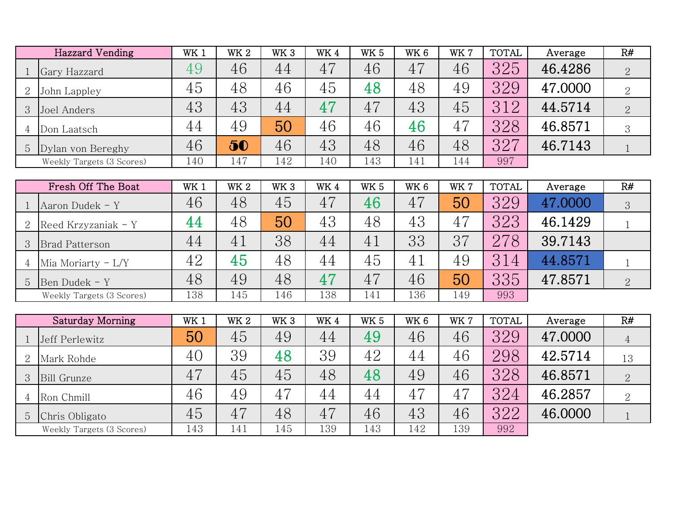|                | <b>Hazzard Vending</b>    | WK <sub>1</sub> | WK <sub>2</sub> | WK <sub>3</sub> | WK4 | <b>WK 5</b> | WK <sub>6</sub> | WK 7 | <b>TOTAL</b> | Average | R#             |
|----------------|---------------------------|-----------------|-----------------|-----------------|-----|-------------|-----------------|------|--------------|---------|----------------|
|                | Gary Hazzard              | 49              | 46              | 44              | 47  | 46          | 47              | 46   | 325          | 46.4286 | $\overline{2}$ |
| $\overline{2}$ | John Lappley              | 45              | 48              | 46              | 45  | 48          | 48              | 49   | 329          | 47.0000 | $\overline{2}$ |
| 3 <sup>1</sup> | Joel Anders               | 43              | 43              | 44              | 47  | 47          | 43              | 45   | 312          | 44.5714 | $\overline{2}$ |
| 4              | Don Laatsch               | 44              | 49              | 50              | 46  | 46          | 46              | 47   | 328          | 46.8571 | 3              |
|                | 5 Dylan von Bereghy       | 46              | 50              | 46              | 43  | 48          | 46              | 48   | 327          | 46.7143 |                |
|                | Weekly Targets (3 Scores) | 140             | 147             | 142             | 140 | 143         | 141             | 144  | 997          |         |                |

|                       | Fresh Off The Boat        | WK 1 | WK <sub>2</sub> | WK <sub>3</sub> | WK4 | <b>WK 5</b> | WK <sub>6</sub> | WK7 | <b>TOTAL</b> | Average | R#             |
|-----------------------|---------------------------|------|-----------------|-----------------|-----|-------------|-----------------|-----|--------------|---------|----------------|
| Aaron Dudek - Y       |                           | 46   | 48              | 45              | 47  | 46          | 47              | 50  | 329          | 47.0000 | 3              |
|                       | Reed Krzyzaniak - Y       | 44   | 48              | 50              | 43  | 48          | 43              | 47  | 323          | 46.1429 |                |
| <b>Brad Patterson</b> |                           | 44   | 41              | 38              | 44  | 41          | 33              | 37  | 278          | 39.7143 |                |
|                       | Mia Moriarty $-L/Y$       | 42   | 45              | 48              | 44  | 45          | 4 <sub>1</sub>  | 49  | 314          | 44.8571 |                |
| Ben Dudek - Y         |                           | 48   | 49              | 48              | 47  | 47          | 46              | 50  | 335          | 47.8571 | $\overline{2}$ |
|                       | Weekly Targets (3 Scores) | 138  | 145             | 146             | 138 | 141         | 136             | 149 | 993          |         |                |

|                | Saturday Morning          | WK <sub>1</sub> | WK <sub>2</sub> | WK <sub>3</sub> | WK4 | WK <sub>5</sub> | WK <sub>6</sub> | WK 7 | TOTAL | Average | R#             |
|----------------|---------------------------|-----------------|-----------------|-----------------|-----|-----------------|-----------------|------|-------|---------|----------------|
|                | Jeff Perlewitz            | 50              | 45              | 49              | 44  | 49              | 46              | 46   | 329   | 47.0000 | $\overline{4}$ |
| $\overline{2}$ | Mark Rohde                | 40              | 39              | 48              | 39  | 42              | 44              | 46   | 298   | 42.5714 | 13             |
| 3              | Bill Grunze               | 47              | 45              | 45              | 48  | 48              | 49              | 46   | 328   | 46.8571 | $\sqrt{2}$     |
| 4              | Ron Chmill                | 46              | 49              | 47              | 44  | 44              | 47              | 47   | 324   | 46.2857 | $\overline{2}$ |
| 5              | Chris Obligato            | 45              | 47              | 48              | 47  | 46              | 43              | 46   | 322   | 46.0000 |                |
|                | Weekly Targets (3 Scores) | 143             | 141             | 145             | 139 | 143             | 142             | 139  | 992   |         |                |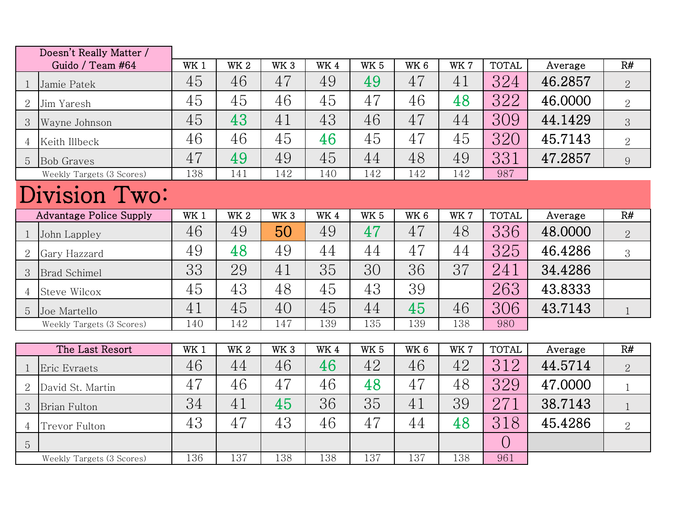|                | Doesn't Really Matter /        |                 |            |                 |            |                 |                 |      |              |         |                |
|----------------|--------------------------------|-----------------|------------|-----------------|------------|-----------------|-----------------|------|--------------|---------|----------------|
|                | Guido / Team #64               | WK <sub>1</sub> | <b>WK2</b> | WK <sub>3</sub> | <b>WK4</b> | <b>WK 5</b>     | WK <sub>6</sub> | WK 7 | <b>TOTAL</b> | Average | R#             |
| 1              | Jamie Patek                    | 45              | 46         | 47              | 49         | 49              | 47              | 41   | 324          | 46.2857 | $\overline{2}$ |
| 2              | Jim Yaresh                     | 45              | 45         | 46              | 45         | 47              | 46              | 48   | 322          | 46.0000 | $\overline{2}$ |
| 3              | Wayne Johnson                  | 45              | 43         | 41              | 43         | 46              | 47              | 44   | 309          | 44.1429 | 3              |
| 4              | Keith Illbeck                  | 46              | 46         | 45              | 46         | 45              | 47              | 45   | 320          | 45.7143 | $\overline{2}$ |
| 5              | <b>Bob Graves</b>              | 47              | 49         | 49              | 45         | 44              | 48              | 49   | 331          | 47.2857 | 9              |
|                | Weekly Targets (3 Scores)      | 138             | 141        | 142             | 140        | 142             | 142             | 142  | 987          |         |                |
|                | Division Two:                  |                 |            |                 |            |                 |                 |      |              |         |                |
|                | <b>Advantage Police Supply</b> | WK <sub>1</sub> | <b>WK2</b> | WK <sub>3</sub> | <b>WK4</b> | WK <sub>5</sub> | WK <sub>6</sub> | WK7  | <b>TOTAL</b> | Average | R#             |
| $\mathbf{1}$   | John Lappley                   | 46              | 49         | 50              | 49         | 47              | 47              | 48   | 336          | 48.0000 | $\overline{2}$ |
| 2              | Gary Hazzard                   | 49              | 48         | 49              | 44         | 44              | 47              | 44   | 325          | 46.4286 | 3              |
| 3              | <b>Brad Schimel</b>            | 33              | 29         | 41              | 35         | 30              | 36              | 37   | 241          | 34.4286 |                |
| $\overline{4}$ | <b>Steve Wilcox</b>            | 45              | 43         | 48              | 45         | 43              | 39              |      | 263          | 43.8333 |                |
| 5              | Joe Martello                   | 41              | 45         | 40              | 45         | 44              | 45              | 46   | 306          | 43.7143 | $\mathbf{1}$   |
|                | Weekly Targets (3 Scores)      | 140             | 142        | 147             | 139        | 135             | 139             | 138  | 980          |         |                |
|                |                                |                 |            |                 |            |                 |                 |      |              |         |                |
|                | The Last Resort                | WK <sub>1</sub> | <b>WK2</b> | WK <sub>3</sub> | WK4        | WK <sub>5</sub> | WK <sub>6</sub> | WK 7 | <b>TOTAL</b> | Average | R#             |
| $\mathbf{1}$   | Eric Evraets                   | 46              | 44         | 46              | 46         | 42              | 46              | 42   | 312          | 44.5714 | $\overline{2}$ |
| $\overline{2}$ | David St. Martin               | 47              | 46         | 47              | 46         | 48              | 47              | 48   | 329          | 47.0000 | $\mathbf{1}$   |
| 3              | <b>Brian Fulton</b>            | 34              | 41         | 45              | 36         | 35              | 41              | 39   | 271          | 38.7143 | $\mathbf{1}$   |
| $\overline{4}$ | Trevor Fulton                  | 43              | 47         | 43              | 46         | 47              | 44              | 48   | 318          | 45.4286 | $\overline{2}$ |
| 5              |                                |                 |            |                 |            |                 |                 |      | $\bigcirc$   |         |                |
|                | Weekly Targets (3 Scores)      | 136             | 137        | 138             | 138        | 137             | 137             | 138  | 961          |         |                |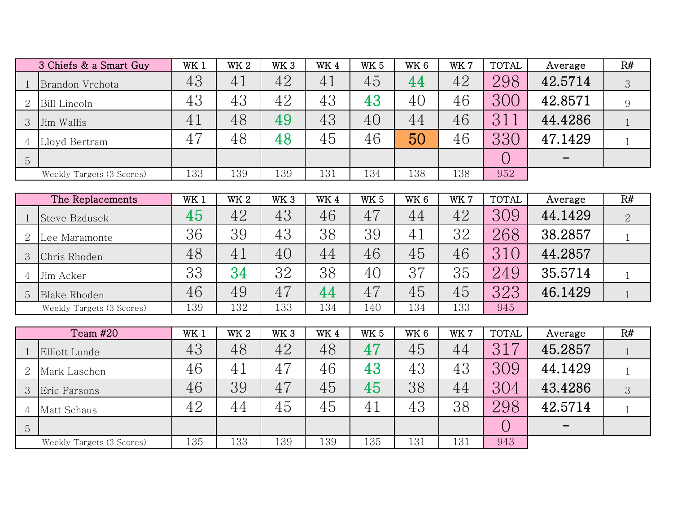|              | 3 Chiefs & a Smart Guy    | WK <sub>1</sub> | WK <sub>2</sub> | WK <sub>3</sub> | WK4 | <b>WK 5</b> | WK 6 | WK 7 | <b>TOTAL</b> | Average | R# |
|--------------|---------------------------|-----------------|-----------------|-----------------|-----|-------------|------|------|--------------|---------|----|
|              | Brandon Vrchota           | 43              | 41              | 42              | 41  | 45          | 44   | 42   | 298          | 42.5714 | 3  |
| 2            | Bill Lincoln              | 43              | 43              | 42              | 43  | 43          | 40   | 46   | 300          | 42.8571 | 9  |
| $\mathbf{3}$ | Jim Wallis                | $4_{\perp}$     | 48              | 49              | 43  | 40          | 44   | 46   | 31           | 44.4286 |    |
| 4            | Lloyd Bertram             | 47              | 48              | 48              | 45  | 46          | 50   | 46   | 330          | 47.1429 |    |
| 5            |                           |                 |                 |                 |     |             |      |      |              |         |    |
|              | Weekly Targets (3 Scores) | 133             | 139             | 139             | 131 | 134         | 138  | 138  | 952          |         |    |

|   | The Replacements          | WK 1 | WK <sub>2</sub> | WK <sub>3</sub> | WK4 | <b>WK 5</b> | WK 6 | WK 7 | <b>TOTAL</b> | Average | R# |
|---|---------------------------|------|-----------------|-----------------|-----|-------------|------|------|--------------|---------|----|
|   | Steve Bzdusek             | 45   | 42              | 43              | 46  | 47          | 44   | 42   | 309          | 44.1429 |    |
| 2 | Lee Maramonte             | 36   | 39              | 43              | 38  | 39          | 41   | 32   | 268          | 38.2857 |    |
|   | Chris Rhoden              | 48   | 41              | 40              | 44  | 46          | 45   | 46   | 310          | 44.2857 |    |
|   | Jim Acker                 | 33   | 34              | 32              | 38  | 40          | 37   | 35   | 249          | 35.5714 |    |
| 5 | Blake Rhoden              | 46   | 49              | 47              | 44  | 47          | 45   | 45   | 323          | 46.1429 |    |
|   | Weekly Targets (3 Scores) | 139  | 132             | 133             | 134 | 140         | 134  | 133  | 945          |         |    |

|                 | Team #20                  | WK 1 | <b>WK 2</b> | WK <sub>3</sub> | WK4 | <b>WK 5</b> | WK <sub>6</sub> | WK 7 | TOTAL | Average | R# |
|-----------------|---------------------------|------|-------------|-----------------|-----|-------------|-----------------|------|-------|---------|----|
|                 | Elliott Lunde             | 43   | 48          | 42              | 48  | 47          | 45              | 44   | 317   | 45.2857 |    |
| 2               | Mark Laschen              | 46   | 41          | 47              | 46  | 43          | 43              | 43   | 309   | 44.1429 |    |
|                 | Eric Parsons              | 46   | 39          | 47              | 45  | 45          | 38              | 44   | 304   | 43.4286 | 3  |
|                 | Matt Schaus               | 42   | 44          | 45              | 45  | 41          | 43              | 38   | 298   | 42.5714 |    |
| $5\overline{)}$ |                           |      |             |                 |     |             |                 |      |       |         |    |
|                 | Weekly Targets (3 Scores) | 135  | 133         | 139             | 139 | 135         | 131             | 131  | 943   |         |    |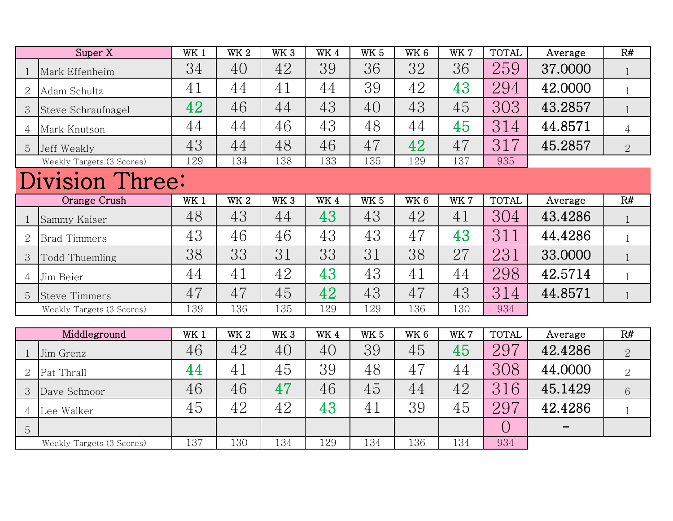|                | Super X                   | WK 1 | <b>WK2</b> | WK <sub>3</sub> | WK4         | WK <sub>5</sub> | WK <sub>6</sub> | WK 7 | <b>TOTAL</b> | Average | R#             |
|----------------|---------------------------|------|------------|-----------------|-------------|-----------------|-----------------|------|--------------|---------|----------------|
| $\mathbf{1}$   | Mark Effenheim            | 34   | 40         | 42              | 39          | 36              | 32              | 36   | 259          | 37.0000 | $\mathbf{1}$   |
| $\overline{2}$ | Adam Schultz              | 41   | 44         | 41              | 44          | 39              | 42              | 43   | 294          | 42.0000 | $\mathbf{1}$   |
| 3              | Steve Schraufnagel        | 42   | 46         | 44              | 43          | 40              | 43              | 45   | 303          | 43.2857 | $\mathbf{1}$   |
| $\overline{4}$ | Mark Knutson              | 44   | 44         | 46              | 43          | 48              | 44              | 45   | 314          | 44.8571 | $\overline{4}$ |
| 5              | Jeff Weakly               | 43   | 44         | 48              | 46          | 47              | 42              | 47   | 317          | 45.2857 | $\overline{2}$ |
|                | Weekly Targets (3 Scores) | 129  | 134        | 138             | 133         | 135             | 129             | 137  | 935          |         |                |
|                | <b>Division Three:</b>    |      |            |                 |             |                 |                 |      |              |         |                |
|                | Orange Crush              | WK 1 | <b>WK2</b> | WK <sub>3</sub> | <b>WK4</b>  | WK <sub>5</sub> | WK <sub>6</sub> | WK 7 | <b>TOTAL</b> | Average | R#             |
| $\mathbf{1}$   | Sammy Kaiser              | 48   | 43         | 44              | 43          | 43              | 42              | 41   | 304          | 43.4286 | $\mathbf{1}$   |
| $\overline{2}$ | <b>Brad Timmers</b>       | 43   | 46         | 46              | 43          | 43              | 47              | 43   | 311          | 44.4286 | $\mathbf{1}$   |
| 3              | Todd Thuemling            | 38   | 33         | 31              | 33          | 31              | 38              | 27   | 231          | 33.0000 | $\mathbf{1}$   |
| $\overline{4}$ | Jim Beier                 | 44   | 41         | 42              | 43          | 43              | 41              | 44   | 298          | 42.5714 | $\mathbf{1}$   |
| 5              | <b>Steve Timmers</b>      | 47   | 47         | 45              | 42          | 43              | 47              | 43   | 314          | 44.8571 | $\mathbf{1}$   |
|                | Weekly Targets (3 Scores) | 139  | 136        | 135             | 129         | 129             | 136             | 130  | 934          |         |                |
|                |                           |      |            |                 |             |                 |                 |      |              |         |                |
|                | Middleground              | WK 1 | <b>WK2</b> | WK <sub>3</sub> | $\rm{W}K$ 4 | <b>WK 5</b>     | WK <sub>6</sub> | WK 7 | <b>TOTAL</b> | Average | R#             |
| $\mathbf{1}$   | Jim Grenz                 | 46   | 42         | 40              | 40          | 39              | 45              | 45   | 297          | 42.4286 | $\overline{2}$ |
| $\overline{2}$ | Pat Thrall                | 44   | 41         | 45              | 39          | 48              | 47              | 44   | 308          | 44.0000 | $\overline{2}$ |
| 3              | Dave Schnoor              | 46   | 46         | 47              | 46          | 45              | 44              | 42   | 316          | 45.1429 | 6              |
| 4              | Lee Walker                | 45   | 42         | 42              | 43          | 41              | 39              | 45   | 297          | 42.4286 | $\mathbf{1}$   |
| 5              |                           |      |            |                 |             |                 |                 |      | $\bigcirc$   |         |                |
|                | Weekly Targets (3 Scores) | 137  | 130        | 134             | 129         | 134             | 136             | 134  | 934          |         |                |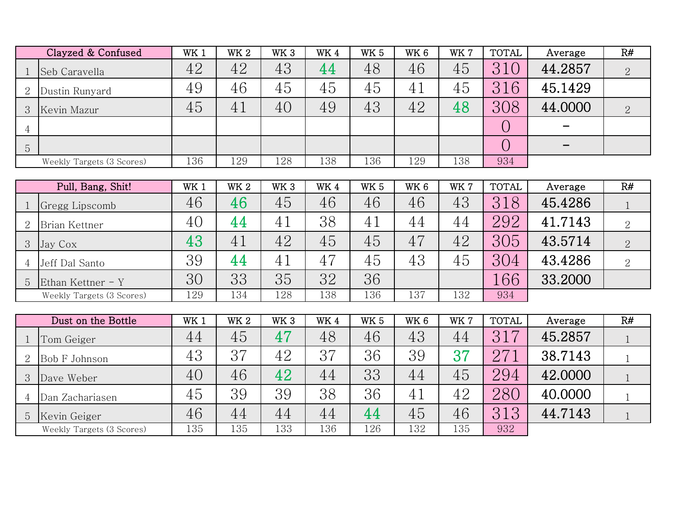|                | Clayzed & Confused        | WK <sub>1</sub> | <b>WK2</b>      | WK <sub>3</sub> | WK4 | WK <sub>5</sub> | WK 6            | <b>WK7</b> | <b>TOTAL</b> | Average | R#             |
|----------------|---------------------------|-----------------|-----------------|-----------------|-----|-----------------|-----------------|------------|--------------|---------|----------------|
|                | Seb Caravella             | 42              | 42              | 43              | 44  | 48              | 46              | 45         | 310          | 44.2857 | $\overline{2}$ |
| 2              | Dustin Runyard            | 49              | 46              | 45              | 45  | 45              | 41              | 45         | 316          | 45.1429 |                |
| 3              | Kevin Mazur               | 45              | 41              | 40              | 49  | 43              | 42              | 48         | 308          | 44.0000 | $\overline{2}$ |
| 4              |                           |                 |                 |                 |     |                 |                 |            | $\bigcirc$   |         |                |
| 5              |                           |                 |                 |                 |     |                 |                 |            | $\bigcirc$   |         |                |
|                | Weekly Targets (3 Scores) | 136             | 129             | 128             | 138 | 136             | 129             | 138        | 934          |         |                |
|                |                           |                 |                 |                 |     |                 |                 |            |              |         |                |
|                | Pull, Bang, Shit!         | WK 1            | WK <sub>2</sub> | WK <sub>3</sub> | WK4 | <b>WK 5</b>     | WK <sub>6</sub> | WK 7       | <b>TOTAL</b> | Average | R#             |
|                | Gregg Lipscomb            | 46              | 46              | 45              | 46  | 46              | 46              | 43         | 318          | 45.4286 | $\mathbf{1}$   |
| $\overline{2}$ | Brian Kettner             | 40              | 44              | 41              | 38  | 41              | 44              | 44         | 292          | 41.7143 | $\overline{2}$ |
| 3              | Jay Cox                   | 43              | 41              | 42              | 45  | 45              | 47              | 42         | 305          | 43.5714 | $\overline{2}$ |
| 4              | Jeff Dal Santo            | 39              | 44              | 41              | 47  | 45              | 43              | 45         | 304          | 43.4286 | $\overline{2}$ |
| 5              | Ethan Kettner - Y         | 30              | 33              | 35              | 32  | 36              |                 |            | 166          | 33.2000 |                |
|                | Weekly Targets (3 Scores) | 129             | 134             | 128             | 138 | 136             | 137             | 132        | 934          |         |                |
|                |                           |                 |                 |                 |     |                 |                 |            |              |         |                |
|                | Dust on the Bottle        | WK 1            | <b>WK 2</b>     | WK <sub>3</sub> | WK4 | WK <sub>5</sub> | WK <sub>6</sub> | WK 7       | <b>TOTAL</b> | Average | R#             |
|                | Tom Geiger                | 44              | 45              | 47              | 48  | 46              | 43              | 44         | 317          | 45.2857 |                |
| $\overline{2}$ | Bob F Johnson             | 43              | 37              | 42              | 37  | 36              | 39              | 37         | 271          | 38.7143 | $\mathbf{1}$   |
| 3              | Dave Weber                | 40              | 46              | 42              | 44  | 33              | 44              | 45         | 294          | 42.0000 |                |

Dan Zachariasen 45 39 39 38 36 41 42 280 40.0000

5 Kevin Geiger | 46 | 44 | 44 | 44 | 45 | 46 | 313 | 44.7143

Weekly Targets (3 Scores)

135 133 136 126 132 135 932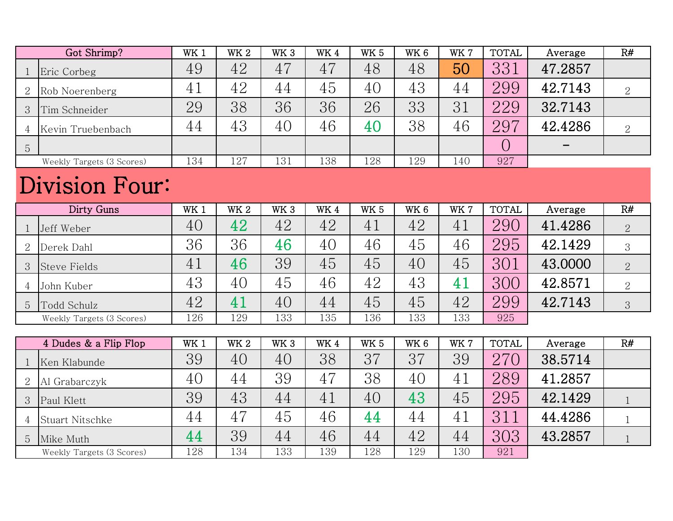|                | Got Shrimp?               | WK 1            | WK <sub>2</sub> | WK <sub>3</sub> | WK4 | <b>WK 5</b>     | WK <sub>6</sub> | WK 7 | <b>TOTAL</b> | Average | R#             |
|----------------|---------------------------|-----------------|-----------------|-----------------|-----|-----------------|-----------------|------|--------------|---------|----------------|
|                | Eric Corbeg               | 49              | 42              | 47              | 47  | 48              | 48              | 50   | 331          | 47.2857 |                |
| 2              | Rob Noerenberg            | 41              | 42              | 44              | 45  | 40              | 43              | 44   | 299          | 42.7143 | $\overline{2}$ |
| 3              | Tim Schneider             | 29              | 38              | 36              | 36  | 26              | 33              | 31   | 229          | 32.7143 |                |
| $\overline{4}$ | Kevin Truebenbach         | 44              | 43              | 40              | 46  | 40              | 38              | 46   | 297          | 42.4286 | 2              |
| 5              |                           |                 |                 |                 |     |                 |                 |      | $\bigcirc$   |         |                |
|                | Weekly Targets (3 Scores) | 134             | 127             | 131             | 138 | 128             | 129             | 140  | 927          |         |                |
| Division Four: |                           |                 |                 |                 |     |                 |                 |      |              |         |                |
|                | Dirty Guns                | WK <sub>1</sub> | <b>WK2</b>      | WK <sub>3</sub> | WK4 | WK <sub>5</sub> | WK <sub>6</sub> | WK 7 | <b>TOTAL</b> | Average | R#             |
|                | Jeff Weber                | 40              | 42              | 42              | 42  | 41              | 42              | 41   | 290          | 41.4286 | $\overline{2}$ |
| $\overline{2}$ | Derek Dahl                | 36              | 36              | 46              | 40  | 46              | 45              | 46   | 295          | 42.1429 | 3              |
| 3              | <b>Steve Fields</b>       | 41              | 46              | 39              | 45  | 45              | 40              | 45   | 301          | 43.0000 | 2              |
| 4              | John Kuber                | 43              | 40              | 45              | 46  | 42              | 43              | 41   | 300          | 42.8571 | 2              |
| 5              | Todd Schulz               | 42              | 41              | 40              | 44  | 45              | 45              | 42   | 299          | 42.7143 | 3              |
|                | Weekly Targets (3 Scores) | 126             | 129             | 133             | 135 | 136             | 133             | 133  | 925          |         |                |

|    | 4 Dudes & a Flip Flop     | WK <sub>1</sub> | <b>WK2</b> | WK <sub>3</sub> | WK4 | <b>WK 5</b> | WK <sub>6</sub> | WK7 | <b>TOTAL</b> | Average | R# |
|----|---------------------------|-----------------|------------|-----------------|-----|-------------|-----------------|-----|--------------|---------|----|
|    | Ken Klabunde              | 39              | 40         | 40              | 38  | 37          | 37              | 39  | 27(          | 38.5714 |    |
|    | Al Grabarczyk             | 40              | 44         | 39              | 47  | 38          | 40              | 41  | 289          | 41.2857 |    |
|    | Paul Klett                | 39              | 43         | 44              | 41  | 40          | 43              | 45  | 295          | 42.1429 |    |
|    | Stuart Nitschke           | 44              | 47         | 45              | 46  | 44          | 44              | 41  | 311          | 44.4286 |    |
| b. | Mike Muth                 | 44              | 39         | 44              | 46  | 44          | 42              | 44  | 303          | 43.2857 |    |
|    | Weekly Targets (3 Scores) | 128             | 134        | 133             | 139 | 128         | 129             | 130 | 921          |         |    |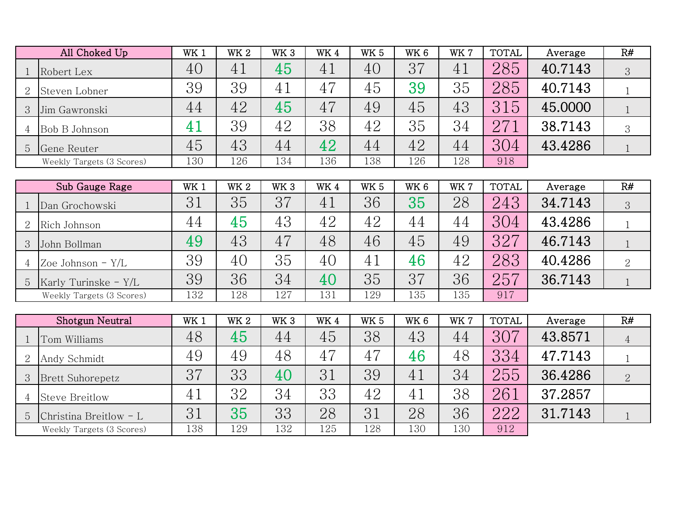|                | All Choked Up             | WK <sub>1</sub> | <b>WK2</b>      | WK <sub>3</sub> | WK4 | <b>WK 5</b> | WK <sub>6</sub> | WK 7 | <b>TOTAL</b> | Average | R# |
|----------------|---------------------------|-----------------|-----------------|-----------------|-----|-------------|-----------------|------|--------------|---------|----|
|                | Robert Lex                | 40              | 41              | 45              | 41  | 40          | 37              | 41   | 285          | 40.7143 | 3  |
| 2              | Steven Lobner             | 39              | 39              | 41              | 47  | 45          | 39              | 35   | 285          | 40.7143 |    |
| 3 <sup>1</sup> | Jim Gawronski             | 44              | 42              | 45              | 47  | 49          | 45              | 43   | 315          | 45.0000 |    |
| 4              | Bob B Johnson             | 4.1             | 39              | 42              | 38  | 42          | 35              | 34   | 271          | 38.7143 | 3  |
| 5 <sup>5</sup> | Gene Reuter               | 45              | 43              | 44              | 42  | 44          | 42              | 44   | 304          | 43.4286 |    |
|                | Weekly Targets (3 Scores) | 130             | 126             | 134             | 136 | 138         | 126             | 128  | 918          |         |    |
|                |                           |                 |                 |                 |     |             |                 |      |              |         |    |
|                | Sub Gauge Rage            | $\rm{WK}$ :     | WK <sub>2</sub> | WK <sub>3</sub> | WK4 | <b>WK 5</b> | WK <sub>6</sub> | WK 7 | <b>TOTAL</b> | Average | R# |

| Sub Gauge Rage            | WK 1 | WK 2 | WK 3 | WK 4 | wĸ 5 | WK 6 | WK. | IUIAL | Average | K# |
|---------------------------|------|------|------|------|------|------|-----|-------|---------|----|
| Dan Grochowski            | 31   | 35   | 37   | 41   | 36   | 35   | 28  | 243   | 34.7143 | 3  |
| Rich Johnson              | 44   | 45   | 43   | 42   | 42   | 44   | 44  | 304   | 43.4286 |    |
| John Bollman              | 49   | 43   | 47   | 48   | 46   | 45   | 49  | 327   | 46.7143 |    |
| Zoe Johnson $-Y/L$        | 39   | 40   | 35   | 40   | 41   | 46   | 42  | 283   | 40.4286 | 2  |
| Karly Turinske - $Y/L$    | 39   | 36   | 34   | 40   | 35   | 37   | 36  | 257   | 36.7143 |    |
| Weekly Targets (3 Scores) | 132  | 128  | 127  | 131  | 129  | 135  | 135 | 917   |         |    |

|   | Shotgun Neutral           | WK 1 | WK <sub>2</sub> | WK <sub>3</sub> | WK4 | <b>WK 5</b> | WK 6           | WK 7 | <b>TOTAL</b> | Average | R#             |
|---|---------------------------|------|-----------------|-----------------|-----|-------------|----------------|------|--------------|---------|----------------|
|   | Tom Williams              | 48   | 45              | 44              | 45  | 38          | 43             | 44   | 307          | 43.8571 |                |
| 2 | Andy Schmidt              | 49   | 49              | 48              | 47  | 47          | 46             | 48   | 334          | 47.7143 |                |
| 3 | <b>Brett Suhorepetz</b>   | 37   | 33              | 40              | 31  | 39          | 41             | 34   | 255          | 36.4286 | $\overline{2}$ |
|   | <b>Steve Breitlow</b>     | 41   | 32              | 34              | 33  | 42          | 4 <sub>1</sub> | 38   | 261          | 37.2857 |                |
| 5 | Christina Breitlow $-L$   | 31   | 35              | 33              | 28  | 31          | 28             | 36   | 222          | 31.7143 |                |
|   | Weekly Targets (3 Scores) | 138  | 129             | 132             | 125 | 128         | 130            | 130  | 912          |         |                |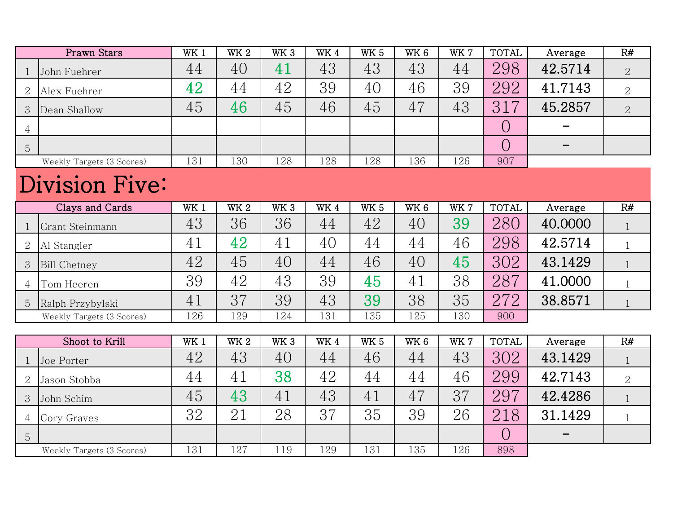|                | Prawn Stars               | WK <sub>1</sub> | <b>WK 2</b> | WK <sub>3</sub> | WK4             | <b>WK 5</b>     | WK 6            | WK 7 | <b>TOTAL</b> | Average | R#             |
|----------------|---------------------------|-----------------|-------------|-----------------|-----------------|-----------------|-----------------|------|--------------|---------|----------------|
| $\mathbf{1}$   | John Fuehrer              | 44              | 40          | 41              | 43              | 43              | 43              | 44   | 298          | 42.5714 | $\overline{2}$ |
| $\overline{2}$ | Alex Fuehrer              | 42              | 44          | 42              | 39              | 40              | 46              | 39   | 292          | 41.7143 | $\overline{2}$ |
| 3              | Dean Shallow              | 45              | 46          | 45              | 46              | 45              | 47              | 43   | 317          | 45.2857 | $\overline{2}$ |
| 4              |                           |                 |             |                 |                 |                 |                 |      | $\bigcirc$   |         |                |
| 5              |                           |                 |             |                 |                 |                 |                 |      | $\bigcirc$   |         |                |
|                | Weekly Targets (3 Scores) | 131             | 130         | 128             | 128             | 128             | 136             | 126  | 907          |         |                |
|                | Division Five:            |                 |             |                 |                 |                 |                 |      |              |         |                |
|                | Clays and Cards           | WK <sub>1</sub> | <b>WK2</b>  | WK <sub>3</sub> | WK4             | <b>WK 5</b>     | WK <sub>6</sub> | WK 7 | <b>TOTAL</b> | Average | R#             |
| $\overline{1}$ | Grant Steinmann           | 43              | 36          | 36              | 44              | 42              | 40              | 39   | 280          | 40.0000 | $\mathbf{1}$   |
| $\overline{2}$ | Al Stangler               | 41              | 42          | 41              | 40              | 44              | 44              | 46   | 298          | 42.5714 | $\mathbf{1}$   |
| 3              | <b>Bill Chetney</b>       | 42              | 45          | 40              | 44              | 46              | 40              | 45   | 302          | 43.1429 | $\mathbf{1}$   |
| 4              | Tom Heeren                | 39              | 42          | 43              | 39              | 45              | 41              | 38   | 287          | 41.0000 | $\mathbf{1}$   |
| 5              | Ralph Przybylski          | 41              | 37          | 39              | 43              | 39              | 38              | 35   | 272          | 38.8571 | $\mathbf{1}$   |
|                | Weekly Targets (3 Scores) | 126             | 129         | 124             | 131             | 135             | 125             | 130  | 900          |         |                |
|                |                           |                 |             |                 |                 |                 |                 |      |              |         |                |
|                | Shoot to Krill            | WK 1            | <b>WK2</b>  | WK <sub>3</sub> | WK <sub>4</sub> | WK <sub>5</sub> | WK <sub>6</sub> | WK 7 | <b>TOTAL</b> | Average | R#             |
| 1              | Joe Porter                | 42              | 43          | 40              | 44              | 46              | 44              | 43   | 302          | 43.1429 | $\mathbf{1}$   |
| $\overline{2}$ | Jason Stobba              | 44              | 41          | 38              | 42              | 44              | 44              | 46   | 299          | 42.7143 | $\overline{2}$ |
| 3              | John Schim                | 45              | 43          | 41              | 43              | 41              | 47              | 37   | 297          | 42.4286 | $\mathbf{1}$   |
| 4              | Cory Graves               | 32              | 21          | 28              | 37              | 35              | 39              | 26   | 218          | 31.1429 | $\mathbf{1}$   |
| 5              |                           |                 |             |                 |                 |                 |                 |      | $\bigcirc$   |         |                |
|                | Weekly Targets (3 Scores) | 131             | 127         | 119             | 129             | 131             | 135             | 126  | 898          |         |                |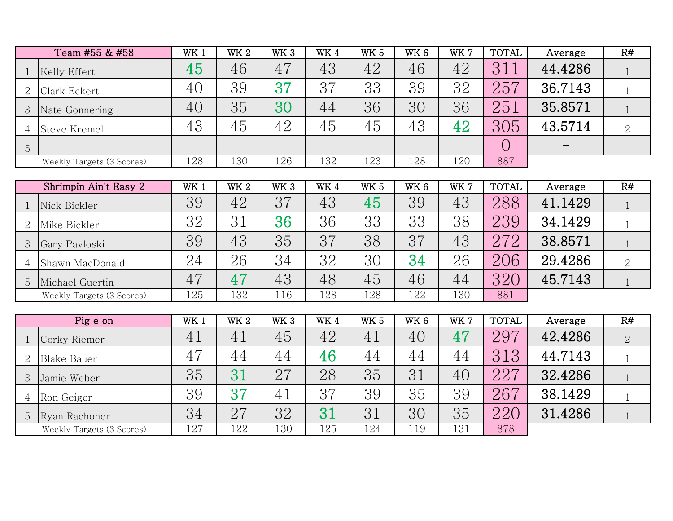|   | Team #55 & #58            | WK <sub>1</sub> | WK <sub>2</sub> | WK <sub>3</sub> | WK4 | <b>WK 5</b> | WK <sub>6</sub> | WK 7 | <b>TOTAL</b> | Average                  | R#             |
|---|---------------------------|-----------------|-----------------|-----------------|-----|-------------|-----------------|------|--------------|--------------------------|----------------|
|   | Kelly Effert              | 45              | 46              | 47              | 43  | 42          | 46              | 42   | 3            | 44.4286                  |                |
| 2 | Clark Eckert              | 40              | 39              | 37              | 37  | 33          | 39              | 32   | 257          | 36.7143                  |                |
| 3 | Nate Gonnering            | 40              | 35              | 30              | 44  | 36          | 30              | 36   | 251          | 35.8571                  |                |
|   | <b>Steve Kremel</b>       | 43              | 45              | 42              | 45  | 45          | 43              | 42   | 305          | 43.5714                  | $\overline{2}$ |
| 5 |                           |                 |                 |                 |     |             |                 |      |              | $\overline{\phantom{0}}$ |                |
|   | Weekly Targets (3 Scores) | 128             | 130             | 126             | 132 | 123         | 128             | 120  | 887          |                          |                |
|   |                           |                 |                 |                 |     |             |                 |      |              |                          |                |

|   | Shrimpin Ain't Easy 2     | WK 1 | WK <sub>2</sub> | WK <sub>3</sub> | WK4 | <b>WK 5</b> | WK <sub>6</sub> | WK 7 | <b>TOTAL</b> | Average | R#             |
|---|---------------------------|------|-----------------|-----------------|-----|-------------|-----------------|------|--------------|---------|----------------|
|   | Nick Bickler              | 39   | 42              | 37              | 43  | 45          | 39              | 43   | 288          | 41.1429 |                |
|   | Mike Bickler              | 32   | 31              | 36              | 36  | 33          | 33              | 38   | 239          | 34.1429 |                |
|   | Gary Pavloski             | 39   | 43              | 35              | 37  | 38          | 37              | 43   | 272          | 38.8571 |                |
| 4 | Shawn MacDonald           | 24   | 26              | 34              | 32  | 30          | 34              | 26   | 206          | 29.4286 | $\overline{2}$ |
| 5 | Michael Guertin           | 47   | 47              | 43              | 48  | 45          | 46              | 44   | 320          | 45.7143 |                |
|   | Weekly Targets (3 Scores) | 125  | 132             | 116             | 128 | 128         | 122             | 130  | 881          |         |                |

|   | Pig e on                  | WK 1 | <b>WK2</b> | WK <sub>3</sub> | WK4 | <b>WK 5</b> | WK <sub>6</sub> | WK 7 | <b>TOTAL</b> | Average | R# |
|---|---------------------------|------|------------|-----------------|-----|-------------|-----------------|------|--------------|---------|----|
|   | Corky Riemer              | 41   | 41         | 45              | 42  | 41          | 40              | 47   | .297         | 42.4286 |    |
|   | <b>Blake Bauer</b>        | 47   | 44         | 44              | 46  | 44          | 44              | 44   | 313          | 44.7143 |    |
| 3 | Jamie Weber               | 35   |            | 27              | 28  | 35          | 31              | 40   | 227          | 32.4286 |    |
| 4 | Ron Geiger                | 39   | 37         | 41              | 37  | 39          | 35              | 39   | 267          | 38.1429 |    |
| 5 | Ryan Rachoner             | 34   | 27         | 32              | 31  | 31          | 30              | 35   | 220          | 31.4286 |    |
|   | Weekly Targets (3 Scores) | 127  | 122        | 130             | 125 | 124         | 119             | 131  | 878          |         |    |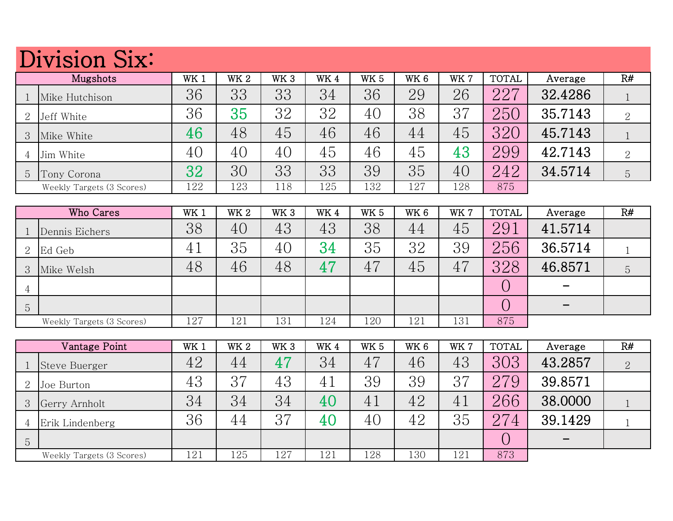## Division Six:

|   | 22111010110121            |                 |                 |                 |     |             |                 |      |              |         |                |  |  |  |
|---|---------------------------|-----------------|-----------------|-----------------|-----|-------------|-----------------|------|--------------|---------|----------------|--|--|--|
|   | Mugshots                  | WK <sub>1</sub> | WK <sub>2</sub> | WK <sub>3</sub> | WK4 | <b>WK 5</b> | WK <sub>6</sub> | WK 7 | <b>TOTAL</b> | Average | R#             |  |  |  |
|   | Mike Hutchison            | 36              | 33              | 33              | 34  | 36          | 29              | 26   | 227          | 32.4286 |                |  |  |  |
|   | Jeff White                | 36              | 35              | 32              | 32  | 40          | 38              | 37   | 250          | 35.7143 | $\overline{2}$ |  |  |  |
|   | Mike White                | 46              | 48              | 45              | 46  | 46          | 44              | 45   | 320          | 45.7143 |                |  |  |  |
|   | Jim White                 | 40              | 40              | 40              | 45  | 46          | 45              | 43   | 299          | 42.7143 | 2              |  |  |  |
| 5 | Tony Corona               | 32              | 30              | 33              | 33  | 39          | 35              | 40   | 242          | 34.5714 | $\overline{5}$ |  |  |  |
|   | Weekly Targets (3 Scores) | 122             | 123             | 118             | 125 | 132         | 127             | 128  | 875          |         |                |  |  |  |

|                | Who Cares                 | WK 1 | WK <sub>2</sub> | WK <sub>3</sub> | WK4 | <b>WK 5</b> | WK 6 | WK 7 | <b>TOTAL</b> | Average                      | R# |
|----------------|---------------------------|------|-----------------|-----------------|-----|-------------|------|------|--------------|------------------------------|----|
|                | Dennis Eichers            | 38   | 40              | 43              | 43  | 38          | 44   | 45   | 291          | 41.5714                      |    |
| 2              | Ed Geb                    | 41   | 35              | 40              | 34  | 35          | 32   | 39   | 256          | 36.5714                      |    |
| 3              | Mike Welsh                | 48   | 46              | 48              | 47  | 47          | 45   | 47   | 328          | 46.8571                      | 5  |
| 4              |                           |      |                 |                 |     |             |      |      |              |                              |    |
| $\overline{5}$ |                           |      |                 |                 |     |             |      |      |              | $\qquad \qquad \blacksquare$ |    |
|                | Weekly Targets (3 Scores) | 127  | 121             | 131             | 124 | 120         | 121  | 131  | 875          |                              |    |

|                | Vantage Point             | WK 1 | WK <sub>2</sub> | WK <sub>3</sub> | WK4 | <b>WK 5</b> | WK 6 | WK 7 | <b>TOTAL</b> | Average | R#             |
|----------------|---------------------------|------|-----------------|-----------------|-----|-------------|------|------|--------------|---------|----------------|
|                | Steve Buerger             | 42   | 44              | 47              | 34  | 47          | 46   | 43   | 303          | 43.2857 | $\overline{2}$ |
| $\overline{2}$ | Joe Burton                | 43   | 37              | 43              | 41  | 39          | 39   | 37   | 279          | 39.8571 |                |
| $\mathcal{S}$  | Gerry Arnholt             | 34   | 34              | 34              | 40  | 41          | 42   | 41   | 266          | 38.0000 |                |
| 4              | Erik Lindenberg           | 36   | 44              | 37              | 40  | 40          | 42   | 35   | 274          | 39.1429 |                |
| 5              |                           |      |                 |                 |     |             |      |      |              |         |                |
|                | Weekly Targets (3 Scores) | 121  | 125             | 127             | 121 | 128         | 130  | 121  | 873          |         |                |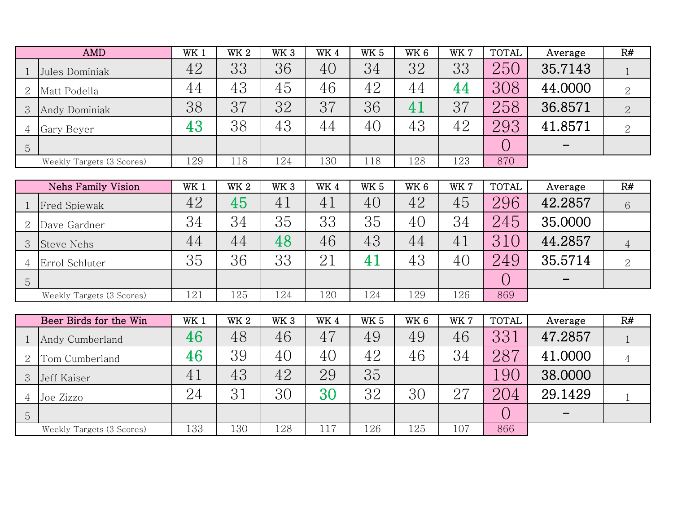|                | <b>AMD</b>                | WK 1 | <b>WK2</b> | WK <sub>3</sub> | WK4 | <b>WK 5</b> | WK <sub>6</sub> | WK 7 | <b>TOTAL</b> | Average | R#             |
|----------------|---------------------------|------|------------|-----------------|-----|-------------|-----------------|------|--------------|---------|----------------|
|                | Jules Dominiak            | 42   | 33         | 36              | 40  | 34          | 32              | 33   | 250          | 35.7143 |                |
| 2              | Matt Podella              | 44   | 43         | 45              | 46  | 42          | 44              | 44   | 308          | 44.0000 | $\overline{2}$ |
| 3              | Andy Dominiak             | 38   | 37         | 32              | 37  | 36          | 4.              | 37   | 258          | 36.8571 |                |
| $\overline{4}$ | Gary Beyer                | 43   | 38         | 43              | 44  | 40          | 43              | 42   | 293          | 41.8571 | $\overline{2}$ |
| 5              |                           |      |            |                 |     |             |                 |      |              |         |                |
|                | Weekly Targets (3 Scores) | 129  | 118        | 124             | 130 | 118         | 128             | 123  | 870          |         |                |
|                |                           |      |            |                 |     |             |                 |      |              |         |                |

|   | Nehs Family Vision        | WK <sub>1</sub> | WK <sub>2</sub> | WK <sub>3</sub> | WK4 | <b>WK 5</b> | WK 6 | WK 7 | <b>TOTAL</b> | Average | R#             |
|---|---------------------------|-----------------|-----------------|-----------------|-----|-------------|------|------|--------------|---------|----------------|
|   | <b>Fred Spiewak</b>       | 42              | 45              | 41              | 41  | 40          | 42   | 45   | 296          | 42.2857 | 6              |
|   | Dave Gardner              | 34              | 34              | 35              | 33  | 35          | 40   | 34   | 245          | 35.0000 |                |
|   | <b>Steve Nehs</b>         | 44              | 44              | 48              | 46  | 43          | 44   | 41   | 310          | 44.2857 |                |
|   | Errol Schluter            | 35              | 36              | 33              | 21  | 41          | 43   | 40   | 249          | 35.5714 | $\overline{2}$ |
| 5 |                           |                 |                 |                 |     |             |      |      |              |         |                |
|   | Weekly Targets (3 Scores) | 121             | 125             | 124             | 120 | 124         | 129  | 126  | 869          |         |                |

|                | Beer Birds for the Win    | WK 1 | <b>WK2</b> | WK <sub>3</sub> | WK4 | <b>WK 5</b> | WK <sub>6</sub> | WK 7 | <b>TOTAL</b> | Average | R# |
|----------------|---------------------------|------|------------|-----------------|-----|-------------|-----------------|------|--------------|---------|----|
|                | Andy Cumberland           | 46   | 48         | 46              | 47  | 49          | 49              | 46   | 331          | 47.2857 |    |
|                | Tom Cumberland            | 46   | 39         | 40              | 40  | 42          | 46              | 34   | 287          | 41.0000 |    |
| 3              | Jeff Kaiser               | 41   | 43         | 42              | 29  | 35          |                 |      | 90           | 38.0000 |    |
|                | Joe Zizzo                 | 24   | 31         | 30              | 30  | 32          | 30              | 27   | 204          | 29.1429 |    |
| $\overline{5}$ |                           |      |            |                 |     |             |                 |      |              |         |    |
|                | Weekly Targets (3 Scores) | 133  | 130        | 128             | 117 | 126         | 125             | 107  | 866          |         |    |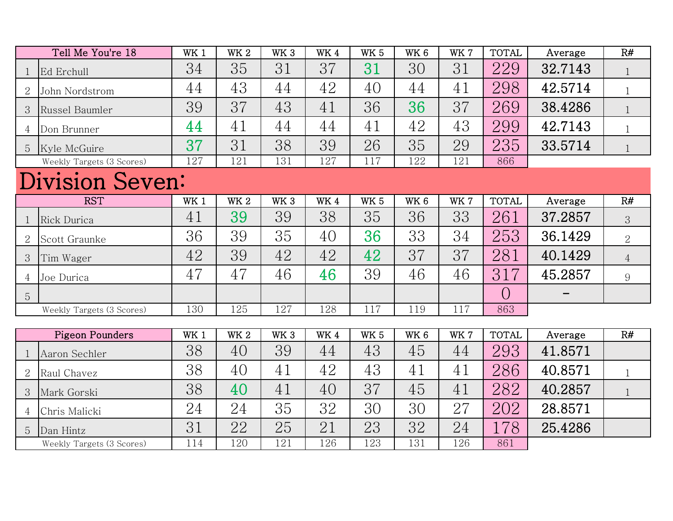|                | Tell Me You're 18         | WK <sub>1</sub> | $\rm{W}K$ 2 | WK <sub>3</sub> | WK4         | WK <sub>5</sub> | WK <sub>6</sub> | WK 7       | <b>TOTAL</b> | Average | R#             |
|----------------|---------------------------|-----------------|-------------|-----------------|-------------|-----------------|-----------------|------------|--------------|---------|----------------|
|                | Ed Erchull                | 34              | 35          | 31              | 37          | 31              | 30              | 31         | 229          | 32.7143 | $\mathbf{1}$   |
| $\overline{2}$ | John Nordstrom            | 44              | 43          | 44              | 42          | 40              | 44              | 41         | 298          | 42.5714 | $\mathbf{1}$   |
| 3              | Russel Baumler            | 39              | 37          | 43              | 41          | 36              | 36              | 37         | 269          | 38.4286 | $\mathbf{1}$   |
| 4              | Don Brunner               | 44              | 41          | 44              | 44          | 41              | 42              | 43         | 299          | 42.7143 | $\mathbf{1}$   |
| 5              | Kyle McGuire              | 37              | 31          | 38              | 39          | 26              | 35              | 29         | 235          | 33.5714 | $\mathbf{1}$   |
|                | Weekly Targets (3 Scores) | 127             | 121         | 131             | 127         | 117             | 122             | 121        | 866          |         |                |
|                | Division Seven:           |                 |             |                 |             |                 |                 |            |              |         |                |
|                | <b>RST</b>                | WK 1            | <b>WK 2</b> | WK <sub>3</sub> | <b>WK4</b>  | <b>WK 5</b>     | WK <sub>6</sub> | WK 7       | <b>TOTAL</b> | Average | R#             |
| 1              | Rick Durica               | 41              | 39          | 39              | 38          | 35              | 36              | 33         | 261          | 37.2857 | 3              |
| 2              | Scott Graunke             | 36              | 39          | 35              | 40          | 36              | 33              | 34         | 253          | 36.1429 | $\overline{2}$ |
| 3              | Tim Wager                 | 42              | 39          | 42              | 42          | 42              | 37              | 37         | 281          | 40.1429 | $\overline{4}$ |
| 4              | Joe Durica                | 47              | 47          | 46              | 46          | 39              | 46              | 46         | 317          | 45.2857 | 9              |
| 5              |                           |                 |             |                 |             |                 |                 |            | $\bigcirc$   |         |                |
|                | Weekly Targets (3 Scores) | 130             | 125         | 127             | 128         | 117             | 119             | 117        | 863          |         |                |
|                |                           |                 |             |                 |             |                 |                 |            |              |         |                |
|                | <b>Pigeon Pounders</b>    | WK 1            | <b>WK 2</b> | WK <sub>3</sub> | $\rm{W}K$ 4 | <b>WK 5</b>     | WK <sub>6</sub> | <b>WK7</b> | <b>TOTAL</b> | Average | R#             |
| $\mathbf 1$    | Aaron Sechler             | 38              | 40          | 39              | 44          | 43              | 45              | 44         | 293          | 41.8571 |                |
| 2              | Raul Chavez               | 38              | 40          | 41              | 42          | 43              | 41              | 41         | 286          | 40.8571 | $\mathbf{1}$   |
| 3              | Mark Gorski               | 38              | 40          | 41              | 40          | 37              | 45              | 41         | 282          | 40.2857 | $\mathbf{1}$   |
| 4              | Chris Malicki             | 24              | 24          | 35              | 32          | 30              | 30              | 27         | 202          | 28.8571 |                |
| 5              | Dan Hintz                 | 31              | 22          | 25              | 21          | 23              | 32              | 24         | 178          | 25.4286 |                |
|                | Weekly Targets (3 Scores) | 114             | 120         | 121             | 126         | 123             | 131             | 126        | 861          |         |                |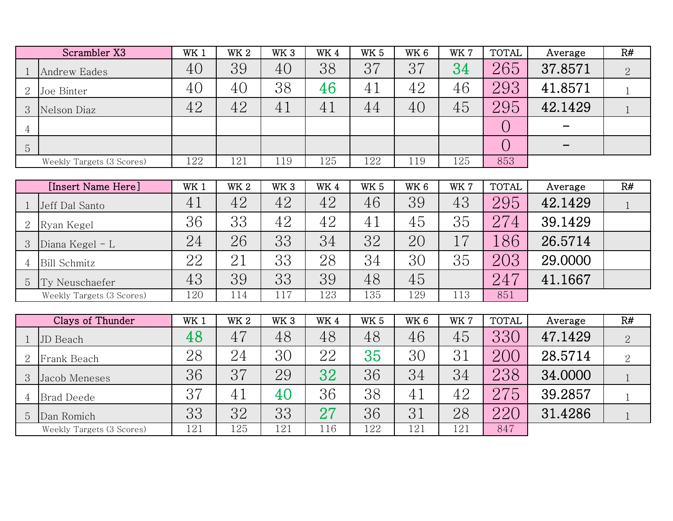|                | Scrambler X3              | WK <sub>1</sub> | WK <sub>2</sub> | WK <sub>3</sub> | WK4 | <b>WK 5</b>     | WK <sub>6</sub> | WK 7 | <b>TOTAL</b> | Average | R#             |
|----------------|---------------------------|-----------------|-----------------|-----------------|-----|-----------------|-----------------|------|--------------|---------|----------------|
| 1              | <b>Andrew Eades</b>       | 40              | 39              | 40              | 38  | 37              | 37              | 34   | 265          | 37.8571 | $\overline{2}$ |
| $\overline{2}$ | Joe Binter                | 40              | 40              | 38              | 46  | 41              | 42              | 46   | 293          | 41.8571 | $\mathbf{1}$   |
| 3              | Nelson Diaz               | 42              | 42              | 41              | 41  | 44              | 40              | 45   | 295          | 42.1429 | $\mathbf{1}$   |
| $\overline{4}$ |                           |                 |                 |                 |     |                 |                 |      | $\bigcirc$   |         |                |
| 5              |                           |                 |                 |                 |     |                 |                 |      | $\bigcirc$   |         |                |
|                | Weekly Targets (3 Scores) | 122             | 121             | 119             | 125 | 122             | 119             | 125  | 853          |         |                |
|                |                           |                 |                 |                 |     |                 |                 |      |              |         |                |
|                | [Insert Name Here]        | WK <sub>1</sub> | <b>WK2</b>      | WK <sub>3</sub> | WK4 | WK <sub>5</sub> | WK <sub>6</sub> | WK 7 | <b>TOTAL</b> | Average | R#             |
| -1             | Jeff Dal Santo            | 41              | 42              | 42              | 42  | 46              | 39              | 43   | 295          | 42.1429 | $\mathbf{1}$   |
| 2              | Ryan Kegel                | 36              | 33              | 42              | 42  | 41              | 45              | 35   | 274          | 39.1429 |                |
| 3              | Diana Kegel - L           | 24              | 26              | 33              | 34  | 32              | 20              | 17   | 186          | 26.5714 |                |
| $\overline{4}$ | <b>Bill Schmitz</b>       | 22              | 21              | 33              | 28  | 34              | 30              | 35   | 203          | 29.0000 |                |
| 5              | Ty Neuschaefer            | 43              | 39              | 33              | 39  | 48              | 45              |      | 247          | 41.1667 |                |
|                | Weekly Targets (3 Scores) | 120             | 114             | 117             | 123 | 135             | 129             | 113  | 851          |         |                |
|                |                           |                 |                 |                 |     |                 |                 |      |              |         |                |
|                | Clays of Thunder          | WK1             | <b>WK2</b>      | WK <sub>3</sub> | WK4 | <b>WK 5</b>     | WK <sub>6</sub> | WK 7 | <b>TOTAL</b> | Average | R#             |
|                | JD Beach                  | 48              | 47              | 48              | 48  | 48              | 46              | 45   | 330          | 47.1429 | $\overline{2}$ |
| $\overline{2}$ | Frank Beach               | 28              | 24              | 30              | 22  | 35              | 30              | 31   | 200          | 28.5714 | 2              |
| 3              | Jacob Meneses             | 36              | 37              | 29              | 32  | 36              | 34              | 34   | 238          | 34.0000 | $\mathbf{1}$   |
| 4              | <b>Brad Deede</b>         | 37              | 41              | 40              | 36  | 38              | 41              | 42   | 275          | 39.2857 | $\mathbf{1}$   |
| 5              | Dan Romich                | 33              | 32              | 33              | 27  | 36              | 31              | 28   | 220          | 31.4286 | $\mathbf{1}$   |
|                | Weekly Targets (3 Scores) | 121             | 125             | 121             | 116 | 122             | 121             | 121  | 847          |         |                |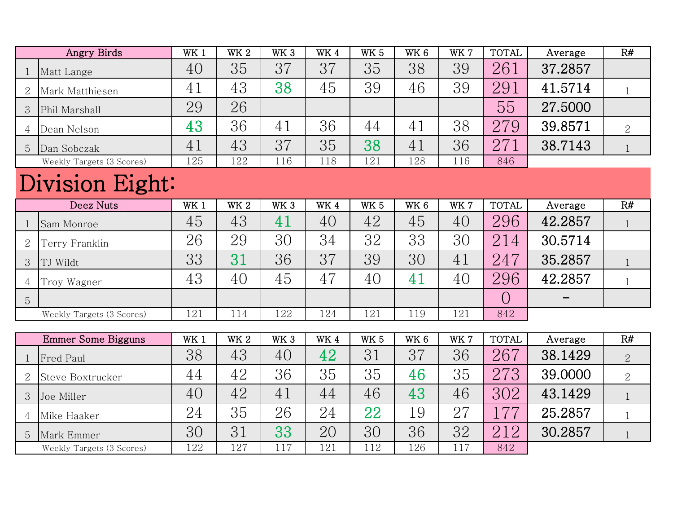|                | <b>Angry Birds</b>        | WK <sub>1</sub> | <b>WK2</b>      | WK <sub>3</sub> | WK4 | WK <sub>5</sub> | WK <sub>6</sub> | WK 7 | <b>TOTAL</b> | Average | R#             |
|----------------|---------------------------|-----------------|-----------------|-----------------|-----|-----------------|-----------------|------|--------------|---------|----------------|
| 1              | Matt Lange                | 40              | 35              | 37              | 37  | 35              | 38              | 39   | 261          | 37.2857 |                |
| $\overline{2}$ | Mark Matthiesen           | 41              | 43              | 38              | 45  | 39              | 46              | 39   | 291          | 41.5714 | $\mathbf{1}$   |
| 3              | Phil Marshall             | 29              | 26              |                 |     |                 |                 |      | 55           | 27.5000 |                |
| 4              | Dean Nelson               | 43              | 36              | 41              | 36  | 44              | 41              | 38   | 279          | 39.8571 | 2              |
| 5              | Dan Sobczak               | 41              | 43              | 37              | 35  | 38              | 41              | 36   | 271          | 38.7143 | $\mathbf{1}$   |
|                | Weekly Targets (3 Scores) | 125             | 122             | 116             | 118 | 121             | 128             | 116  | 846          |         |                |
|                | Division Eight:           |                 |                 |                 |     |                 |                 |      |              |         |                |
|                | Deez Nuts                 | WK <sub>1</sub> | WK <sub>2</sub> | WK <sub>3</sub> | WK4 | WK <sub>5</sub> | WK 6            | WK 7 | <b>TOTAL</b> | Average | R#             |
| $\mathbf{1}$   | Sam Monroe                | 45              | 43              | 41              | 40  | 42              | 45              | 40   | 296          | 42.2857 | $\mathbf{1}$   |
| $\overline{2}$ | Terry Franklin            | 26              | 29              | 30              | 34  | 32              | 33              | 30   | 214          | 30.5714 |                |
| 3              | TJ Wildt                  | 33              | 31              | 36              | 37  | 39              | 30              | 41   | 247          | 35.2857 | $\mathbf{1}$   |
| 4              | Troy Wagner               | 43              | 40              | 45              | 47  | 40              | 41              | 40   | 296          | 42.2857 | $\mathbf{1}$   |
| 5              |                           |                 |                 |                 |     |                 |                 |      | $\bigcirc$   |         |                |
|                | Weekly Targets (3 Scores) | 121             | 114             | 122             | 124 | 121             | 119             | 121  | 842          |         |                |
|                |                           |                 |                 |                 |     |                 |                 |      |              |         |                |
|                | <b>Emmer Some Bigguns</b> | WK <sub>1</sub> | <b>WK2</b>      | WK <sub>3</sub> | WK4 | <b>WK 5</b>     | WK <sub>6</sub> | WK 7 | <b>TOTAL</b> | Average | R#             |
| 1              | Fred Paul                 | 38              | 43              | 40              | 42  | 31              | 37              | 36   | 267          | 38.1429 | $\overline{2}$ |
| $\overline{2}$ | Steve Boxtrucker          | 44              | 42              | 36              | 35  | 35              | 46              | 35   | 273          | 39.0000 | $\overline{2}$ |
| 3              | Joe Miller                | 40              | 42              | 41              | 44  | 46              | 43              | 46   | 302          | 43.1429 | $\mathbf{1}$   |
| 4              | Mike Haaker               | 24              | 35              | 26              | 24  | 22              | 19              | 27   | 177          | 25.2857 | $\mathbf{1}$   |
| 5              | Mark Emmer                | 30              | 31              | 33              | 20  | 30              | 36              | 32   | 212          | 30.2857 | $\mathbf{1}$   |
|                | Weekly Targets (3 Scores) | 122             | 127             | 117             | 121 | 112             | 126             | 117  | 842          |         |                |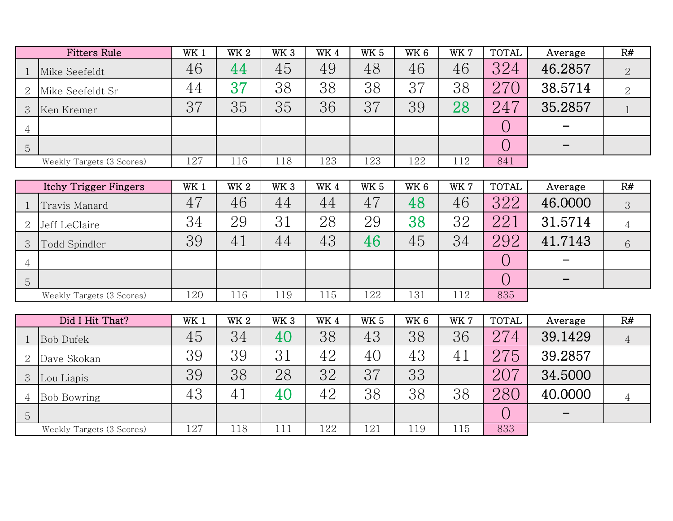|                | <b>Fitters Rule</b>       | WK 1 | WK <sub>2</sub> | WK <sub>3</sub> | WK4 | <b>WK 5</b> | WK <sub>6</sub> | WK 7 | <b>TOTAL</b> | Average | R# |
|----------------|---------------------------|------|-----------------|-----------------|-----|-------------|-----------------|------|--------------|---------|----|
|                | Mike Seefeldt             | 46   | 44              | 45              | 49  | 48          | 46              | 46   | 324          | 46.2857 |    |
| 2              | Mike Seefeldt Sr          | 44   | 37              | 38              | 38  | 38          | 37              | 38   | 270          | 38.5714 | 2  |
| 3              | Ken Kremer                | 37   | 35              | 35              | 36  | 37          | 39              | 28   | 247          | 35.2857 |    |
| $\overline{4}$ |                           |      |                 |                 |     |             |                 |      | ◡            |         |    |
| $\overline{5}$ |                           |      |                 |                 |     |             |                 |      | ◡            |         |    |
|                | Weekly Targets (3 Scores) | 127  | 16ء             | 118             | 123 | 123         | 122             | 112  | 841          |         |    |

|         | Itchy Trigger Fingers     | WK 1 | WK <sub>2</sub> | WK <sub>3</sub> | WK4 | <b>WK 5</b> | WK 6 | WK 7 | <b>TOTAL</b> | Average | R# |
|---------|---------------------------|------|-----------------|-----------------|-----|-------------|------|------|--------------|---------|----|
|         | Travis Manard             | 47   | 46              | 44              | 44  | 47          | 48   | 46   | 322          | 46.0000 | 3  |
|         | Jeff LeClaire             | 34   | 29              | 31              | 28  | 29          | 38   | 32   | 221          | 31.5714 | 4  |
|         | Todd Spindler             | 39   | 41              | 44              | 43  | 46          | 45   | 34   | 292          | 41.7143 | 6  |
|         |                           |      |                 |                 |     |             |      |      |              |         |    |
| $\circ$ |                           |      |                 |                 |     |             |      |      |              |         |    |
|         | Weekly Targets (3 Scores) | 120  | 116             | 119             | 115 | 122         | 131  | 112  | 835          |         |    |

|   | Did I Hit That?           | WK 1 | WK <sub>2</sub> | WK <sub>3</sub> | WK4 | WK <sub>5</sub> | WK <sub>6</sub> | WK 7 | <b>TOTAL</b> | Average | R# |
|---|---------------------------|------|-----------------|-----------------|-----|-----------------|-----------------|------|--------------|---------|----|
|   | <b>Bob Dufek</b>          | 45   | 34              | 40              | 38  | 43              | 38              | 36   | 274          | 39.1429 | 4  |
| 2 | Dave Skokan               | 39   | 39              | 31              | 42  | 40              | 43              | 41   | 275          | 39.2857 |    |
| 3 | Lou Liapis                | 39   | 38              | 28              | 32  | 37              | 33              |      | 207          | 34.5000 |    |
| 4 | <b>Bob Bowring</b>        | 43   | 41              | 40              | 42  | 38              | 38              | 38   | 280          | 40.0000 | 4  |
| 5 |                           |      |                 |                 |     |                 |                 |      |              |         |    |
|   | Weekly Targets (3 Scores) | 127  | 118             |                 | 122 | 121             | 119             | 115  | 833          |         |    |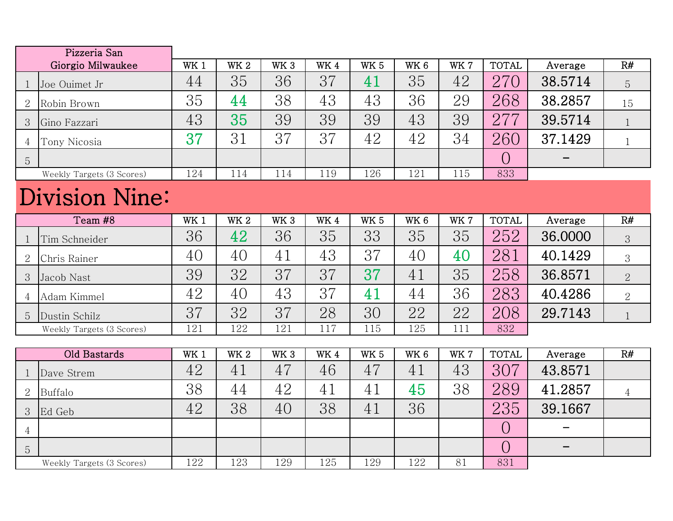|                | Pizzeria San              |                 |            |                 |     |                 |                 |      |              |                   |                |
|----------------|---------------------------|-----------------|------------|-----------------|-----|-----------------|-----------------|------|--------------|-------------------|----------------|
|                | Giorgio Milwaukee         | WK 1            | <b>WK2</b> | WK <sub>3</sub> | WK4 | <b>WK 5</b>     | WK <sub>6</sub> | WK 7 | <b>TOTAL</b> | Average           | R#             |
| $\mathbf 1$    | Joe Ouimet Jr             | 44              | 35         | 36              | 37  | 41              | 35              | 42   | 270          | 38.5714           | 5              |
| 2              | Robin Brown               | 35              | 44         | 38              | 43  | 43              | 36              | 29   | 268          | 38.2857           | 15             |
| 3              | Gino Fazzari              | 43              | 35         | 39              | 39  | 39              | 43              | 39   | 277          | 39.5714           | 1              |
| 4              | Tony Nicosia              | 37              | 31         | 37              | 37  | 42              | 42              | 34   | 260          | 37.1429           | $\mathbf{1}$   |
| 5              |                           |                 |            |                 |     |                 |                 |      | $\bigcirc$   |                   |                |
|                | Weekly Targets (3 Scores) | 124             | 114        | 114             | 119 | 126             | 121             | 115  | 833          |                   |                |
|                | <b>Division Nine:</b>     |                 |            |                 |     |                 |                 |      |              |                   |                |
|                | Team #8                   | WK <sub>1</sub> | <b>WK2</b> | WK <sub>3</sub> | WK4 | WK <sub>5</sub> | WK <sub>6</sub> | WK 7 | <b>TOTAL</b> | Average           | R#             |
| $\mathbf{1}$   | Tim Schneider             | 36              | 42         | 36              | 35  | 33              | 35              | 35   | 252          | 36.0000           | 3              |
| 2              | Chris Rainer              | 40              | 40         | 41              | 43  | 37              | 40              | 40   | 281          | 40.1429           | 3              |
| 3              | Jacob Nast                | 39              | 32         | 37              | 37  | 37              | 41              | 35   | 258          | 36.8571           | $\overline{2}$ |
| $\overline{4}$ | Adam Kimmel               | 42              | 40         | 43              | 37  | 41              | 44              | 36   | 283          | 40.4286           | $\overline{2}$ |
| 5              | Dustin Schilz             | 37              | 32         | 37              | 28  | 30              | 22              | 22   | 208          | 29.7143           | $\mathbf{1}$   |
|                | Weekly Targets (3 Scores) | 121             | 122        | 121             | 117 | 115             | 125             | 111  | 832          |                   |                |
|                |                           |                 |            |                 |     |                 |                 |      |              |                   |                |
|                | Old Bastards              | WK <sub>1</sub> | <b>WK2</b> | WK <sub>3</sub> | WK4 | WK <sub>5</sub> | WK <sub>6</sub> | WK 7 | <b>TOTAL</b> | Average           | R#             |
| $\mathbf 1$    | Dave Strem                | 42              | 41         | 47              | 46  | 47              | 41              | 43   | 307          | 43.8571           |                |
| 2              | Buffalo                   | 38              | 44         | 42              | 41  | 41              | 45              | 38   | 289          | 41.2857           | $\overline{4}$ |
| 3              | Ed Geb                    | 42              | 38         | 40              | 38  | 41              | 36              |      | 235          | 39.1667           |                |
| $\overline{4}$ |                           |                 |            |                 |     |                 |                 |      | $\bigcirc$   |                   |                |
| 5              |                           |                 |            |                 |     |                 |                 |      | $\bigcirc$   | $\qquad \qquad -$ |                |
|                | Weekly Targets (3 Scores) | 122             | 123        | 129             | 125 | 129             | 122             | 81   | 831          |                   |                |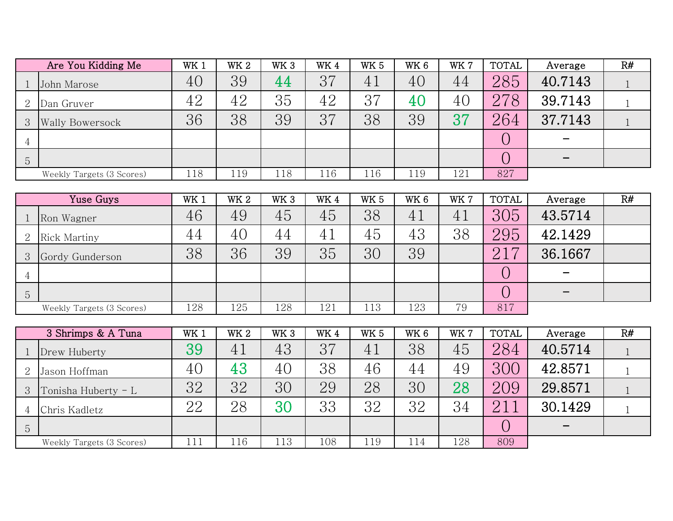|                | Are You Kidding Me        | WK 1            | <b>WK2</b>  | WK <sub>3</sub> | WK4 | <b>WK 5</b>     | WK <sub>6</sub> | WK 7 | <b>TOTAL</b> | Average         | R#           |
|----------------|---------------------------|-----------------|-------------|-----------------|-----|-----------------|-----------------|------|--------------|-----------------|--------------|
| 1              | John Marose               | 40              | 39          | 44              | 37  | 41              | 40              | 44   | 285          | 40.7143         | $\mathbf{1}$ |
| 2              | Dan Gruver                | 42              | 42          | 35              | 42  | 37              | 40              | 40   | 278          | 39.7143         | $\mathbf{1}$ |
| 3              | <b>Wally Bowersock</b>    | 36              | 38          | 39              | 37  | 38              | 39              | 37   | 264          | 37.7143         | $\mathbf{1}$ |
| 4              |                           |                 |             |                 |     |                 |                 |      | $\bigcirc$   |                 |              |
| 5              |                           |                 |             |                 |     |                 |                 |      | $\bigcirc$   |                 |              |
|                | Weekly Targets (3 Scores) | 118             | 119         | 118             | 116 | 116             | 119             | 121  | 827          |                 |              |
|                |                           |                 |             |                 |     |                 |                 |      |              |                 |              |
|                | Yuse Guys                 | WK <sub>1</sub> | $\rm{W}K$ 2 | WK <sub>3</sub> | WK4 | <b>WK 5</b>     | WK <sub>6</sub> | WK 7 | <b>TOTAL</b> | Average         | R#           |
| $\mathbf 1$    | Ron Wagner                | 46              | 49          | 45              | 45  | 38              | 41              | 41   | 305          | 43.5714         |              |
| $\overline{2}$ | <b>Rick Martiny</b>       | 44              | 40          | 44              | 41  | 45              | 43              | 38   | 295          | 42.1429         |              |
| 3              | Gordy Gunderson           | 38              | 36          | 39              | 35  | 30              | 39              |      | 217          | 36.1667         |              |
| 4              |                           |                 |             |                 |     |                 |                 |      | $\bigcirc$   |                 |              |
| 5              |                           |                 |             |                 |     |                 |                 |      | $\bigcirc$   | $\qquad \qquad$ |              |
|                | Weekly Targets (3 Scores) | 128             | 125         | 128             | 121 | 113             | 123             | 79   | 817          |                 |              |
|                |                           |                 |             |                 |     |                 |                 |      |              |                 |              |
|                | 3 Shrimps & A Tuna        | WK1             | <b>WK2</b>  | WK <sub>3</sub> | WK4 | WK <sub>5</sub> | WK <sub>6</sub> | WK 7 | <b>TOTAL</b> | Average         | R#           |
|                | Drew Huberty              | 39              | 41          | 43              | 37  | 41              | 38              | 45   | 284          | 40.5714         | $\mathbf{1}$ |
| $\overline{2}$ | Jason Hoffman             | 40              | 43          | 40              | 38  | 46              | 44              | 49   | 300          | 42.8571         | $\mathbf{1}$ |
| 3              | Tonisha Huberty - L       | 32              | 32          | 30              | 29  | 28              | 30              | 28   | 209          | 29.8571         | $\mathbf{1}$ |
| 4              | Chris Kadletz             | 22              | 28          | 30              | 33  | 32              | 32              | 34   | 211          | 30.1429         | $\mathbf{1}$ |
| 5              |                           |                 |             |                 |     |                 |                 |      | $\bigcirc$   |                 |              |
|                | Weekly Targets (3 Scores) | 111             | 116         | 113             | 108 | 119             | 114             | 128  | 809          |                 |              |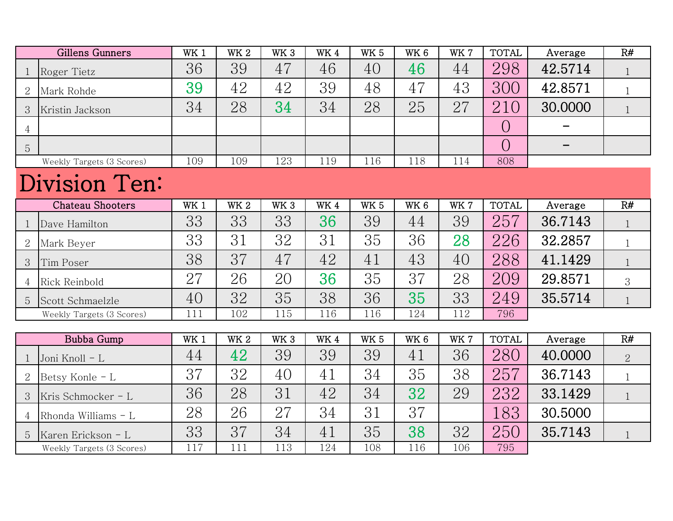|                | Gillens Gunners           | WK <sub>1</sub> | <b>WK2</b> | WK <sub>3</sub> | WK4  | <b>WK 5</b>     | WK <sub>6</sub> | WK 7 | <b>TOTAL</b>   | Average | R#             |
|----------------|---------------------------|-----------------|------------|-----------------|------|-----------------|-----------------|------|----------------|---------|----------------|
| $\mathbf{1}$   | Roger Tietz               | 36              | 39         | 47              | 46   | 40              | 46              | 44   | 298            | 42.5714 | $\mathbf{1}$   |
| $\overline{2}$ | Mark Rohde                | 39              | 42         | 42              | 39   | 48              | 47              | 43   | 300            | 42.8571 | $\mathbf{1}$   |
| 3              | Kristin Jackson           | 34              | 28         | 34              | 34   | 28              | 25              | 27   | 210            | 30.0000 | $\mathbf{1}$   |
| 4              |                           |                 |            |                 |      |                 |                 |      | $\bigcirc$     |         |                |
| 5              |                           |                 |            |                 |      |                 |                 |      | $\overline{O}$ |         |                |
|                | Weekly Targets (3 Scores) | 109             | 109        | 123             | 119  | 116             | 118             | 114  | 808            |         |                |
|                | Division Ten:             |                 |            |                 |      |                 |                 |      |                |         |                |
|                | <b>Chateau Shooters</b>   | WK <sub>1</sub> | <b>WK2</b> | WK <sub>3</sub> | WK 4 | WK <sub>5</sub> | WK <sub>6</sub> | WK 7 | <b>TOTAL</b>   | Average | R#             |
| $\mathbf{1}$   | Dave Hamilton             | 33              | 33         | 33              | 36   | 39              | 44              | 39   | 257            | 36.7143 | $\mathbf{1}$   |
| $\overline{2}$ | Mark Beyer                | 33              | 31         | 32              | 31   | 35              | 36              | 28   | 226            | 32.2857 | $\mathbf{1}$   |
| 3              | Tim Poser                 | 38              | 37         | 47              | 42   | 41              | 43              | 40   | 288            | 41.1429 | $\mathbf{1}$   |
| 4              | Rick Reinbold             | 27              | 26         | 20              | 36   | 35              | 37              | 28   | 209            | 29.8571 | 3              |
| 5              | Scott Schmaelzle          | 40              | 32         | 35              | 38   | 36              | 35              | 33   | 249            | 35.5714 | $\mathbf{1}$   |
|                | Weekly Targets (3 Scores) | 111             | 102        | 115             | 116  | 116             | 124             | 112  | 796            |         |                |
|                |                           |                 |            |                 |      |                 |                 |      |                |         |                |
|                | Bubba Gump                | WK <sub>1</sub> | <b>WK2</b> | WK <sub>3</sub> | WK4  | WK <sub>5</sub> | WK 6            | WK 7 | <b>TOTAL</b>   | Average | R#             |
| $\mathbf{1}$   | Joni Knoll - L            | 44              | 42         | 39              | 39   | 39              | 41              | 36   | 280            | 40.0000 | $\overline{2}$ |
| $\overline{2}$ | Betsy Konle - L           | 37              | 32         | 40              | 41   | 34              | 35              | 38   | 257            | 36.7143 | $\mathbf{1}$   |
| 3              | Kris Schmocker - L        | 36              | 28         | 31              | 42   | 34              | 32              | 29   | 232            | 33.1429 | $\mathbf{1}$   |
| 4              | Rhonda Williams - L       | 28              | 26         | 27              | 34   | 31              | 37              |      | 183            | 30.5000 |                |
| 5              | Karen Erickson - L        | 33              | 37         | 34              | 41   | 35              | 38              | 32   | 250            | 35.7143 | $\mathbf{1}$   |
|                | Weekly Targets (3 Scores) | 117             | 111        | 113             | 124  | 108             | 116             | 106  | 795            |         |                |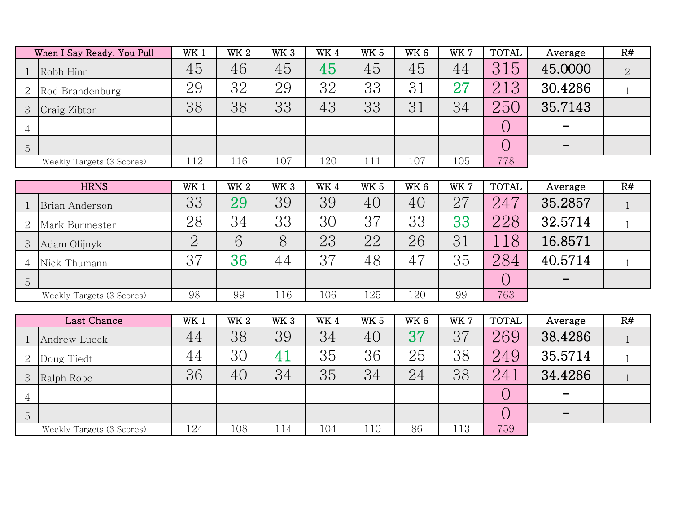|                | When I Say Ready, You Pull | WK <sub>1</sub> | WK <sub>2</sub> | WK <sub>3</sub> | WK <sub>4</sub> | WK <sub>5</sub> | WK 6 | WK 7 | <b>TOTAL</b> | Average                  | R# |
|----------------|----------------------------|-----------------|-----------------|-----------------|-----------------|-----------------|------|------|--------------|--------------------------|----|
|                | Robb Hinn                  | 45              | 46              | 45              | 45              | 45              | 45   | 44   | 315          | 45.0000                  |    |
| 2              | Rod Brandenburg            | 29              | 32              | 29              | 32              | 33              | 31   | 27   | 213          | 30.4286                  |    |
| 3              | Craig Zibton               | 38              | 38              | 33              | 43              | 33              | 31   | 34   | 250          | 35.7143                  |    |
| 4              |                            |                 |                 |                 |                 |                 |      |      |              | $\sim$                   |    |
| $\overline{5}$ |                            |                 |                 |                 |                 |                 |      |      |              | $\overline{\phantom{0}}$ |    |
|                | Weekly Targets (3 Scores)  | 112             | 116             | 107             | 120             | 111             | 107  | 105  | 778          |                          |    |

| HRN\$   |                           | WK 1 | WK <sub>2</sub> | WK <sub>3</sub> | WK4 | <b>WK 5</b> | WK <sub>6</sub> | WK 7 | <b>TOTAL</b> | Average | R# |
|---------|---------------------------|------|-----------------|-----------------|-----|-------------|-----------------|------|--------------|---------|----|
|         | Brian Anderson            | 33   | 29              | 39              | 39  | 40          | 40              | 27   | 247          | 35.2857 |    |
|         | Mark Burmester            | 28   | 34              | 33              | 30  | 37          | 33              | 33   | 228          | 32.5714 |    |
|         | Adam Olijnyk              |      | 6               | 8               | 23  | 22          | 26              | 31   | 18           | 16.8571 |    |
|         | Nick Thumann              | 37   | 36              | 44              | 37  | 48          | 4.              | 35   | 284          | 40.5714 |    |
| $\circ$ |                           |      |                 |                 |     |             |                 |      |              |         |    |
|         | Weekly Targets (3 Scores) | 98   | 99              | 116             | 106 | 125         | 120             | 99   | 763          |         |    |

|                           | Last Chance  |     | WK <sub>2</sub> | WK <sub>3</sub>                      | WK4 | <b>WK 5</b> | WK <sub>6</sub> | WK 7 | <b>TOTAL</b> | Average | R# |
|---------------------------|--------------|-----|-----------------|--------------------------------------|-----|-------------|-----------------|------|--------------|---------|----|
|                           | Andrew Lueck | 44  | 38              | 39                                   | 34  | 40          | 37              | 37   | 269          | 38.4286 |    |
| Ω<br>$\overline{a}$       | Doug Tiedt   | 44  | 30              | $4^{\scriptscriptstyle{\texttt{-}}}$ | 35  | 36          | 25              | 38   | 249          | 35.5714 |    |
|                           | Ralph Robe   | 36  | 40              | 34                                   | 35  | 34          | 24              | 38   | 241          | 34.4286 |    |
|                           |              |     |                 |                                      |     |             |                 |      |              |         |    |
| $5\overline{)}$           |              |     |                 |                                      |     |             |                 |      |              |         |    |
| Weekly Targets (3 Scores) |              | 124 | 108             | 114                                  | 104 | 110         | 86              | 113  | 759          |         |    |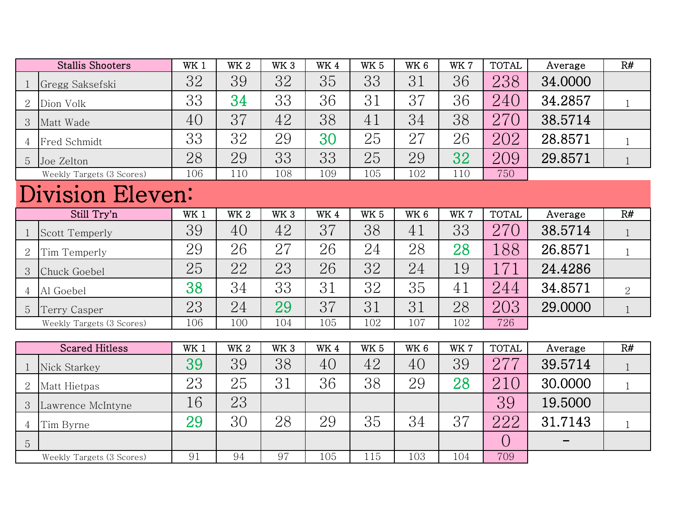| <b>Stallis Shooters</b> |                           | WK <sub>1</sub> | <b>WK2</b>  | WK <sub>3</sub> | WK4         | <b>WK 5</b>     | WK <sub>6</sub> | WK 7 | <b>TOTAL</b> | Average | R#             |
|-------------------------|---------------------------|-----------------|-------------|-----------------|-------------|-----------------|-----------------|------|--------------|---------|----------------|
| $\mathbf 1$             | Gregg Saksefski           | 32              | 39          | 32              | 35          | 33              | 31              | 36   | 238          | 34.0000 |                |
| 2                       | Dion Volk                 | 33              | 34          | 33              | 36          | 31              | 37              | 36   | 240          | 34.2857 | $\mathbf{1}$   |
| 3                       | Matt Wade                 | 40              | 37          | 42              | 38          | 41              | 34              | 38   | 270          | 38.5714 |                |
| $\overline{4}$          | Fred Schmidt              | 33              | 32          | 29              | 30          | 25              | 27              | 26   | 202          | 28.8571 | $\mathbf{1}$   |
| $\overline{5}$          | Joe Zelton                | 28              | 29          | 33              | 33          | 25              | 29              | 32   | 209          | 29.8571 |                |
|                         | Weekly Targets (3 Scores) | 106             | 110         | 108             | 109         | 105             | 102             | 110  | 750          |         |                |
| Division Eleven:        |                           |                 |             |                 |             |                 |                 |      |              |         |                |
|                         | Still Try'n               | WK 1            | $\rm{W}K$ 2 | WK <sub>3</sub> | WK4         | WK <sub>5</sub> | WK <sub>6</sub> | WK7  | <b>TOTAL</b> | Average | R#             |
| $\mathbf 1$             | <b>Scott Temperly</b>     | 39              | 40          | 42              | 37          | 38              | 41              | 33   | 270          | 38.5714 | 1              |
| $\overline{2}$          | Tim Temperly              | 29              | 26          | 27              | 26          | 24              | 28              | 28   | 188          | 26.8571 | $\mathbf{1}$   |
| 3                       | Chuck Goebel              | 25              | 22          | 23              | 26          | 32              | 24              | 19   | 171          | 24.4286 |                |
| $\overline{4}$          | Al Goebel                 | 38              | 34          | 33              | 31          | 32              | 35              | 41   | 244          | 34.8571 | $\overline{2}$ |
| 5                       | Terry Casper              | 23              | 24          | 29              | 37          | 31              | 31              | 28   | 203          | 29.0000 |                |
|                         | Weekly Targets (3 Scores) | 106             | 100         | 104             | 105         | 102             | 107             | 102  | 726          |         |                |
|                         |                           |                 |             |                 |             |                 |                 |      |              |         |                |
|                         | <b>Scared Hitless</b>     | WK 1            | $\rm{W}K$ 2 | WK 3            | $\rm{W}K$ 4 | WK <sub>5</sub> | WK 6            | WK 7 | <b>TOTAL</b> | Average | R#             |
| $\mathbf{1}$            | Nick Starkey              | 39              | 39          | 38              | 40          | 42              | 40              | 39   | 277          | 39.5714 |                |
| 2                       | Matt Hietpas              | 23              | 25          | 31              | 36          | 38              | 29              | 28   | 210          | 30.0000 | $\mathbf{1}$   |
| 3                       | Lawrence McIntyne         | 16              | 23          |                 |             |                 |                 |      | 39           | 19.5000 |                |
| 4                       | Tim Byrne                 | 29              | 30          | 28              | 29          | 35              | 34              | 37   | 222          | 31.7143 | $\mathbf{1}$   |
| 5                       |                           |                 |             |                 |             |                 |                 |      | $\bigcirc$   |         |                |
|                         | Weekly Targets (3 Scores) | 91              | 94          | 97              | 105         | 115             | 103             | 104  | 709          |         |                |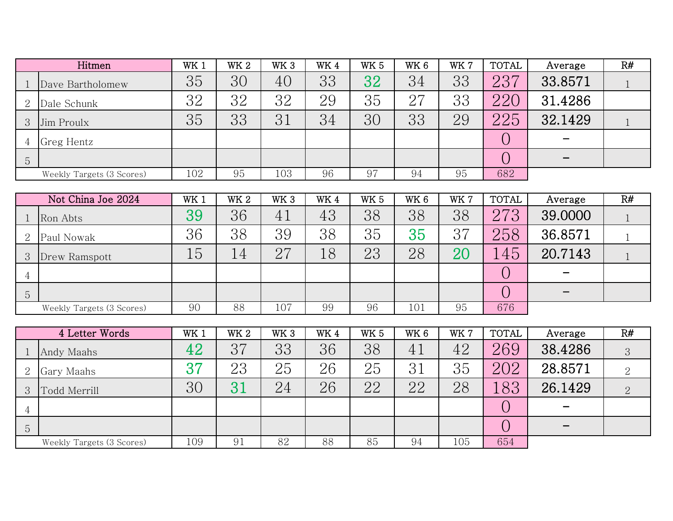| Hitmen         |                           | WK 1 | WK <sub>2</sub> | WK <sub>3</sub> | WK4 | <b>WK 5</b> | WK <sub>6</sub> | WK 7 | <b>TOTAL</b> | Average | R# |
|----------------|---------------------------|------|-----------------|-----------------|-----|-------------|-----------------|------|--------------|---------|----|
|                | Dave Bartholomew          | 35   | 30              | 40              | 33  | 32          | 34              | 33   | 237          | 33.8571 |    |
|                | Dale Schunk               | 32   | 32              | 32              | 29  | 35          | 27              | 33   | 220          | 31.4286 |    |
| 3              | Jim Proulx                | 35   | 33              | 31              | 34  | 30          | 33              | 29   | 225          | 32.1429 |    |
|                | Greg Hentz                |      |                 |                 |     |             |                 |      |              |         |    |
| $\overline{5}$ |                           |      |                 |                 |     |             |                 |      |              |         |    |
|                | Weekly Targets (3 Scores) | 102  | 95              | 103             | 96  | 97          | 94              | 95   | 682          |         |    |

| Not China Joe 2024 |                           | WK 1 | WK <sub>2</sub> | WK <sub>3</sub> | WK4 | <b>WK 5</b> | WK <sub>6</sub> | WK 7 | <b>TOTAL</b> | Average | R# |
|--------------------|---------------------------|------|-----------------|-----------------|-----|-------------|-----------------|------|--------------|---------|----|
|                    | Ron Abts                  | 39   | 36              | 41              | 43  | 38          | 38              | 38   | 273          | 39.0000 |    |
|                    | Paul Nowak                | 36   | 38              | 39              | 38  | 35          | 35              | 37   | 258          | 36.8571 |    |
| 3                  | Drew Ramspott             | 15   | 14              | 27              | 18  | 23          | 28              | 20   | 45           | 20.7143 |    |
|                    |                           |      |                 |                 |     |             |                 |      |              |         |    |
| 5                  |                           |      |                 |                 |     |             |                 |      |              |         |    |
|                    | Weekly Targets (3 Scores) | 90   | 88              | 107             | 99  | 96          | 101             | 95   | 676          |         |    |

| 4 Letter Words            |              | WK <sub>1</sub> | <b>WK2</b> | WK <sub>3</sub> | WK4 | WK <sub>5</sub> | WK <sub>6</sub> | WK 7 | <b>TOTAL</b> | Average                  | R#             |
|---------------------------|--------------|-----------------|------------|-----------------|-----|-----------------|-----------------|------|--------------|--------------------------|----------------|
|                           | Andy Maahs   | 42              | 37         | 33              | 36  | 38              | 4.1             | 42   | 269          | 38.4286                  | $\sqrt{3}$     |
| 2                         | Gary Maahs   | $\mathbf{R}$    | 23         | 25              | 26  | 25              | 31              | 35   | 202          | 28.8571                  |                |
|                           | Todd Merrill | 30              |            | 24              | 26  | 22              | 22              | 28   | 83           | 26.1429                  | $\overline{2}$ |
| 4                         |              |                 |            |                 |     |                 |                 |      |              | $\overline{\phantom{0}}$ |                |
| 5                         |              |                 |            |                 |     |                 |                 |      |              |                          |                |
| Weekly Targets (3 Scores) |              | 109             | 91         | 82              | 88  | 85              | 94              | 105  | 654          |                          |                |